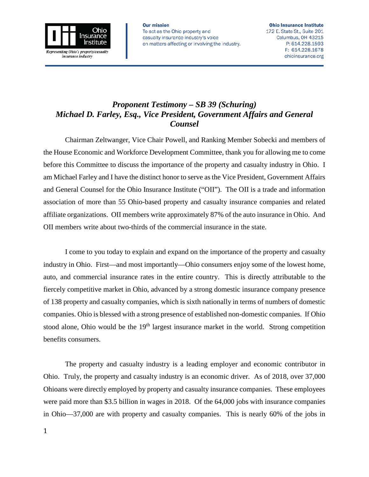

## *Proponent Testimony – SB 39 (Schuring) Michael D. Farley, Esq., Vice President, Government Affairs and General Counsel*

Chairman Zeltwanger, Vice Chair Powell, and Ranking Member Sobecki and members of the House Economic and Workforce Development Committee, thank you for allowing me to come before this Committee to discuss the importance of the property and casualty industry in Ohio. I am Michael Farley and I have the distinct honor to serve as the Vice President, Government Affairs and General Counsel for the Ohio Insurance Institute ("OII"). The OII is a trade and information association of more than 55 Ohio-based property and casualty insurance companies and related affiliate organizations. OII members write approximately 87% of the auto insurance in Ohio. And OII members write about two-thirds of the commercial insurance in the state.

I come to you today to explain and expand on the importance of the property and casualty industry in Ohio. First—and most importantly—Ohio consumers enjoy some of the lowest home, auto, and commercial insurance rates in the entire country. This is directly attributable to the fiercely competitive market in Ohio, advanced by a strong domestic insurance company presence of 138 property and casualty companies, which is sixth nationally in terms of numbers of domestic companies. Ohio is blessed with a strong presence of established non-domestic companies. If Ohio stood alone, Ohio would be the 19<sup>th</sup> largest insurance market in the world. Strong competition benefits consumers.

The property and casualty industry is a leading employer and economic contributor in Ohio. Truly, the property and casualty industry is an economic driver. As of 2018, over 37,000 Ohioans were directly employed by property and casualty insurance companies. These employees were paid more than \$3.5 billion in wages in 2018. Of the 64,000 jobs with insurance companies in Ohio—37,000 are with property and casualty companies. This is nearly 60% of the jobs in